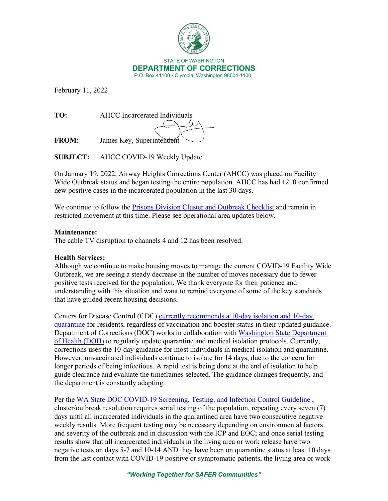

February 11, 2022

**TO:** AHCC Incarcerated Individuals  $\omega$ 

**FROM:** James Key, Superintendent

**SUBJECT:** AHCC COVID-19 Weekly Update

On January 19, 2022, Airway Heights Corrections Center (AHCC) was placed on Facility Wide Outbreak status and began testing the entire population. AHCC has had 1210 confirmed new positive cases in the incarcerated population in the last 30 days.

We continue to follow the [Prisons Division Cluster and Outbreak Checklist](https://doc.wa.gov/corrections/covid-19/docs/outbreak-checklist.pdf) and remain in restricted movement at this time. Please see operational area updates below.

## **Maintenance:**

The cable TV disruption to channels 4 and 12 has been resolved.

## **Health Services:**

Although we continue to make housing moves to manage the current COVID-19 Facility Wide Outbreak, we are seeing a steady decrease in the number of moves necessary due to fewer positive tests received for the population. We thank everyone for their patience and understanding with this situation and want to remind everyone of some of the key standards that have guided recent housing decisions.

Centers for Disease Control (CDC) [currently recommends a 10-day isolation and 10-day](https://www.cdc.gov/coronavirus/2019-ncov/community/correction-detention/guidance-correctional-detention.html#Medicalisolation)  [quarantine](https://www.cdc.gov/coronavirus/2019-ncov/community/correction-detention/guidance-correctional-detention.html#Medicalisolation) for residents, regardless of vaccination and booster status in their updated guidance. Department of Corrections (DOC) works in collaboration with [Washington State Department](https://www.doh.wa.gov/)  [of Health \(DOH\)](https://www.doh.wa.gov/) to regularly update quarantine and medical isolation protocols. Currently, corrections uses the 10-day guidance for most individuals in medical isolation and quarantine. However, unvaccinated individuals continue to isolate for 14 days, due to the concern for longer periods of being infectious. A rapid test is being done at the end of isolation to help guide clearance and evaluate the timeframes selected. The guidance changes frequently, and the department is constantly adapting.

Per the WA State DOC COVID-19 Screening, Testing, and Infection Control Guideline, cluster/outbreak resolution requires serial testing of the population, repeating every seven (7) days until all incarcerated individuals in the quarantined area have two consecutive negative weekly results. More frequent testing may be necessary depending on environmental factors and severity of the outbreak and in discussion with the ICP and EOC; and once serial testing results show that all incarcerated individuals in the living area or work release have two negative tests on days 5-7 and 10-14 AND they have been on quarantine status at least 10 days from the last contact with COVID-19 positive or symptomatic patients, the living area or work

*"Working Together for SAFER Communities"*